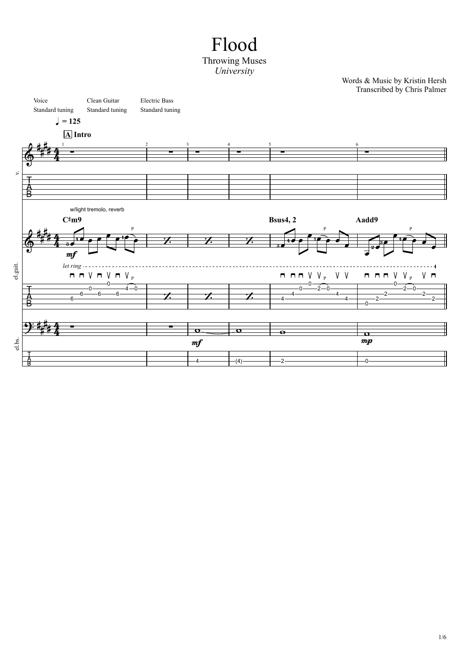## Flood Throwing Muses *University*

Words & Music by Kristin Hersh Transcribed by Chris Palmer

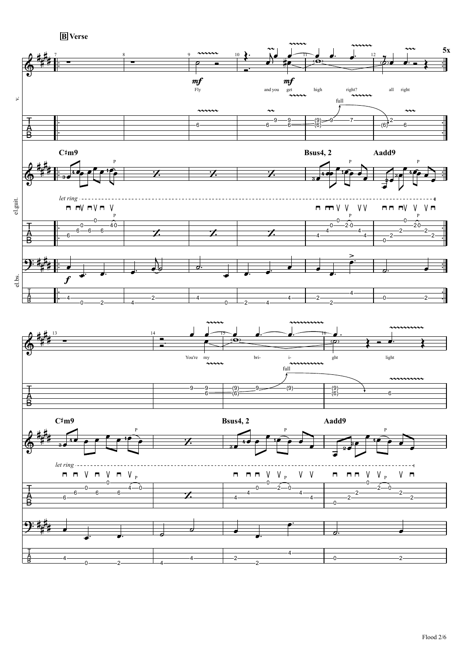

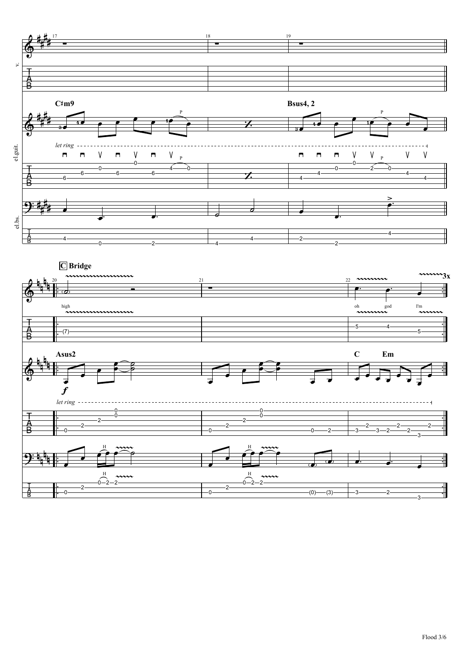

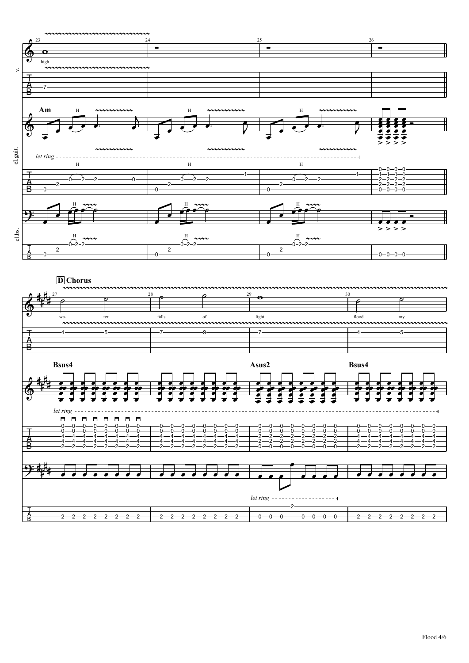

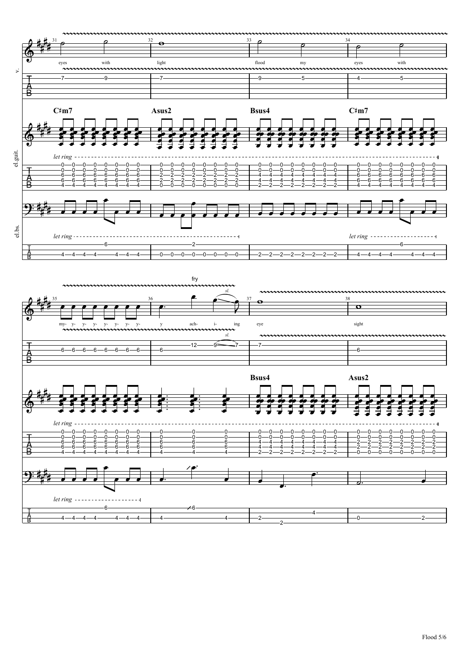